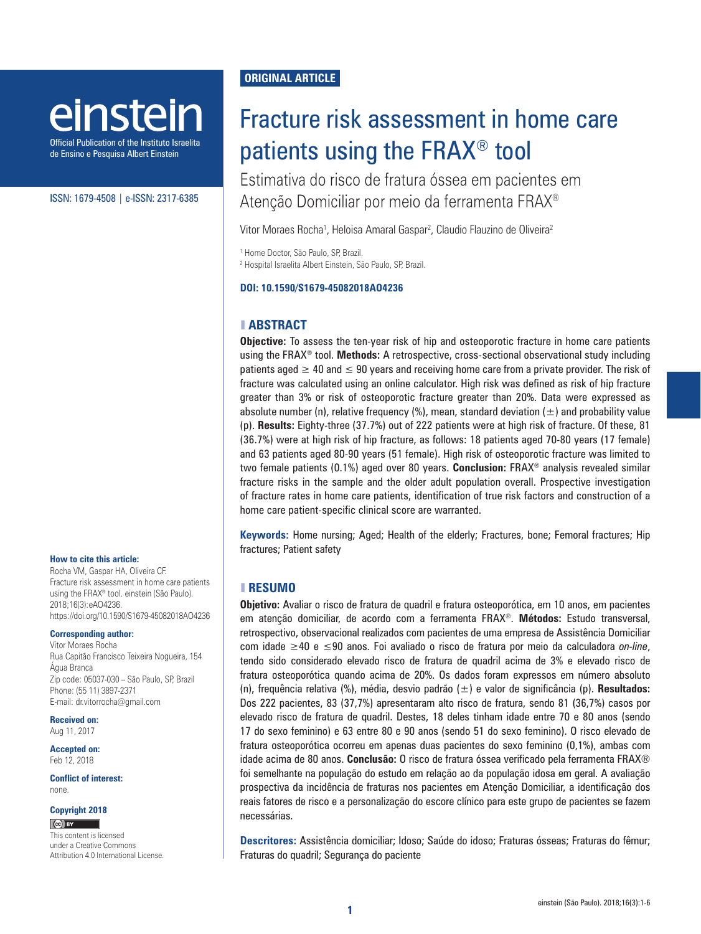# einstein

Official Publication of the Instituto Israelita de Ensino e Pesquisa Albert Einstein

#### ISSN: 1679-4508 | e-ISSN: 2317-6385

#### **How to cite this article:**

Rocha VM, Gaspar HA, Oliveira CF. Fracture risk assessment in home care patients using the FRAX® tool. einstein (São Paulo). 2018;16(3):eAO4236. https://doi.org/10.1590/S1679-45082018AO4236

#### **Corresponding author:**

Vitor Moraes Rocha Rua Capitão Francisco Teixeira Nogueira, 154 Água Branca Zip code: 05037-030 – São Paulo, SP, Brazil Phone: (55 11) 3897-2371 E-mail: dr.vitorrocha@gmail.com

**Received on:**  Aug 11, 2017

**Accepted on:**  Feb 12, 2018

**Conflict of interest:**  none.

#### **Copyright 2018**

 $(C)$  BY

This content is licensed under a Creative Commons Attribution 4.0 International License.

# **ORIGINAL ARTICLE**

# Fracture risk assessment in home care patients using the FRAX® tool

Estimativa do risco de fratura óssea em pacientes em Atenção Domiciliar por meio da ferramenta FRAX®

Vitor Moraes Rocha<sup>1</sup>, Heloisa Amaral Gaspar<sup>2</sup>, Claudio Flauzino de Oliveira<sup>2</sup>

1 Home Doctor, São Paulo, SP, Brazil.

2 Hospital Israelita Albert Einstein, São Paulo, SP, Brazil.

**DOI: 10.1590/S1679-45082018AO4236**

# ❚ **ABSTRACT**

**Objective:** To assess the ten-year risk of hip and osteoporotic fracture in home care patients using the FRAX® tool. **Methods:** A retrospective, cross-sectional observational study including patients aged  $\geq 40$  and  $\leq 90$  years and receiving home care from a private provider. The risk of fracture was calculated using an online calculator. High risk was defined as risk of hip fracture greater than 3% or risk of osteoporotic fracture greater than 20%. Data were expressed as absolute number (n), relative frequency (%), mean, standard deviation ( $\pm$ ) and probability value (p). **Results:** Eighty-three (37.7%) out of 222 patients were at high risk of fracture. Of these, 81 (36.7%) were at high risk of hip fracture, as follows: 18 patients aged 70-80 years (17 female) and 63 patients aged 80-90 years (51 female). High risk of osteoporotic fracture was limited to two female patients (0.1%) aged over 80 years. **Conclusion:** FRAX® analysis revealed similar fracture risks in the sample and the older adult population overall. Prospective investigation of fracture rates in home care patients, identification of true risk factors and construction of a home care patient-specific clinical score are warranted.

**Keywords:** Home nursing; Aged; Health of the elderly; Fractures, bone; Femoral fractures; Hip fractures; Patient safety

# ❚ **RESUMO**

**Objetivo:** Avaliar o risco de fratura de quadril e fratura osteoporótica, em 10 anos, em pacientes em atenção domiciliar, de acordo com a ferramenta FRAX®. **Métodos:** Estudo transversal, retrospectivo, observacional realizados com pacientes de uma empresa de Assistência Domiciliar com idade ≥40 e ≤90 anos. Foi avaliado o risco de fratura por meio da calculadora *on-line*, tendo sido considerado elevado risco de fratura de quadril acima de 3% e elevado risco de fratura osteoporótica quando acima de 20%. Os dados foram expressos em número absoluto (n), frequência relativa (%), média, desvio padrão (±) e valor de significância (p). **Resultados:**  Dos 222 pacientes, 83 (37,7%) apresentaram alto risco de fratura, sendo 81 (36,7%) casos por elevado risco de fratura de quadril. Destes, 18 deles tinham idade entre 70 e 80 anos (sendo 17 do sexo feminino) e 63 entre 80 e 90 anos (sendo 51 do sexo feminino). O risco elevado de fratura osteoporótica ocorreu em apenas duas pacientes do sexo feminino (0,1%), ambas com idade acima de 80 anos. **Conclusão:** O risco de fratura óssea verificado pela ferramenta FRAX® foi semelhante na população do estudo em relação ao da população idosa em geral. A avaliação prospectiva da incidência de fraturas nos pacientes em Atenção Domiciliar, a identificação dos reais fatores de risco e a personalização do escore clínico para este grupo de pacientes se fazem necessárias.

**Descritores:** Assistência domiciliar; Idoso; Saúde do idoso; Fraturas ósseas; Fraturas do fêmur; Fraturas do quadril; Segurança do paciente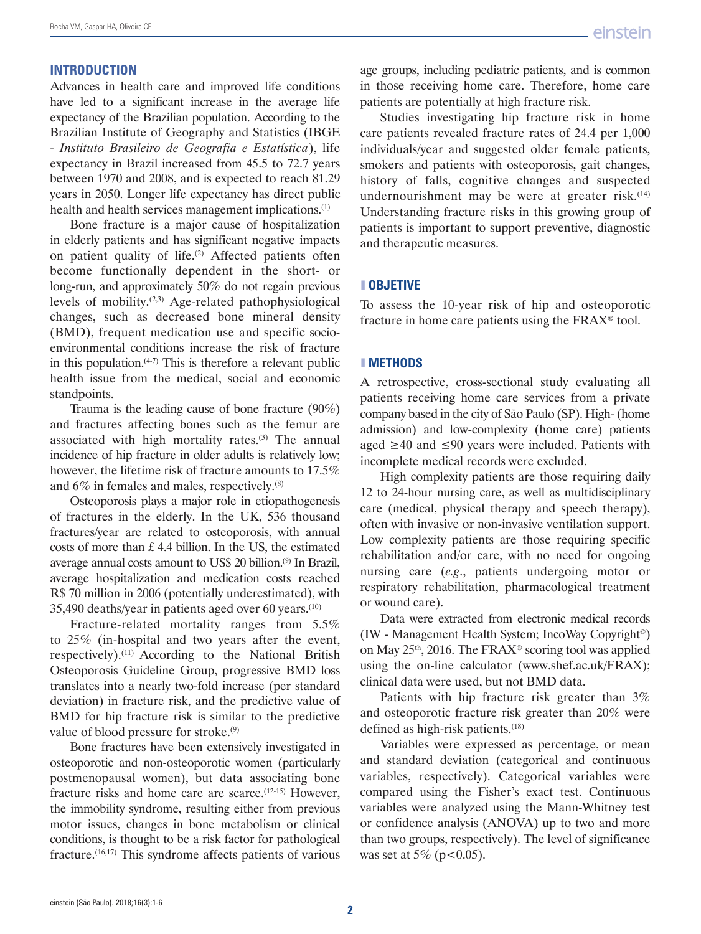# **INTRODUCTION**

Advances in health care and improved life conditions have led to a significant increase in the average life expectancy of the Brazilian population. According to the Brazilian Institute of Geography and Statistics (IBGE - *Instituto Brasileiro de Geografia e Estatística*), life expectancy in Brazil increased from 45.5 to 72.7 years between 1970 and 2008, and is expected to reach 81.29 years in 2050. Longer life expectancy has direct public health and health services management implications.<sup>(1)</sup>

Bone fracture is a major cause of hospitalization in elderly patients and has significant negative impacts on patient quality of life. $(2)$  Affected patients often become functionally dependent in the short- or long-run, and approximately 50% do not regain previous levels of mobility.(2,3) Age-related pathophysiological changes, such as decreased bone mineral density (BMD), frequent medication use and specific socioenvironmental conditions increase the risk of fracture in this population. $(4-7)$  This is therefore a relevant public health issue from the medical, social and economic standpoints.

Trauma is the leading cause of bone fracture (90%) and fractures affecting bones such as the femur are associated with high mortality rates.<sup>(3)</sup> The annual incidence of hip fracture in older adults is relatively low; however, the lifetime risk of fracture amounts to 17.5% and  $6\%$  in females and males, respectively.<sup>(8)</sup>

Osteoporosis plays a major role in etiopathogenesis of fractures in the elderly. In the UK, 536 thousand fractures/year are related to osteoporosis, with annual costs of more than £ 4.4 billion. In the US, the estimated average annual costs amount to US\$ 20 billion.(9) In Brazil, average hospitalization and medication costs reached R\$ 70 million in 2006 (potentially underestimated), with 35,490 deaths/year in patients aged over 60 years.(10)

Fracture-related mortality ranges from 5.5% to 25% (in-hospital and two years after the event, respectively).(11) According to the National British Osteoporosis Guideline Group, progressive BMD loss translates into a nearly two-fold increase (per standard deviation) in fracture risk, and the predictive value of BMD for hip fracture risk is similar to the predictive value of blood pressure for stroke.<sup>(9)</sup>

Bone fractures have been extensively investigated in osteoporotic and non-osteoporotic women (particularly postmenopausal women), but data associating bone fracture risks and home care are scarce.(12-15) However, the immobility syndrome, resulting either from previous motor issues, changes in bone metabolism or clinical conditions, is thought to be a risk factor for pathological fracture.(16,17) This syndrome affects patients of various age groups, including pediatric patients, and is common in those receiving home care. Therefore, home care patients are potentially at high fracture risk.

Studies investigating hip fracture risk in home care patients revealed fracture rates of 24.4 per 1,000 individuals/year and suggested older female patients, smokers and patients with osteoporosis, gait changes, history of falls, cognitive changes and suspected undernourishment may be were at greater risk. $(14)$ Understanding fracture risks in this growing group of patients is important to support preventive, diagnostic and therapeutic measures.

# ❚ **OBJETIVE**

To assess the 10-year risk of hip and osteoporotic fracture in home care patients using the FRAX® tool.

# ❚ **METHODS**

A retrospective, cross-sectional study evaluating all patients receiving home care services from a private company based in the city of São Paulo (SP). High- (home admission) and low-complexity (home care) patients aged ≥40 and ≤90 years were included. Patients with incomplete medical records were excluded.

High complexity patients are those requiring daily 12 to 24-hour nursing care, as well as multidisciplinary care (medical, physical therapy and speech therapy), often with invasive or non-invasive ventilation support. Low complexity patients are those requiring specific rehabilitation and/or care, with no need for ongoing nursing care (*e.g*., patients undergoing motor or respiratory rehabilitation, pharmacological treatment or wound care).

Data were extracted from electronic medical records (IW - Management Health System; IncoWay Copyright©) on May  $25<sup>th</sup>$ , 2016. The FRAX<sup>®</sup> scoring tool was applied using the on-line calculator (www.shef.ac.uk/FRAX); clinical data were used, but not BMD data.

Patients with hip fracture risk greater than 3% and osteoporotic fracture risk greater than 20% were defined as high-risk patients.(18)

Variables were expressed as percentage, or mean and standard deviation (categorical and continuous variables, respectively). Categorical variables were compared using the Fisher's exact test. Continuous variables were analyzed using the Mann-Whitney test or confidence analysis (ANOVA) up to two and more than two groups, respectively). The level of significance was set at  $5\%$  (p<0.05).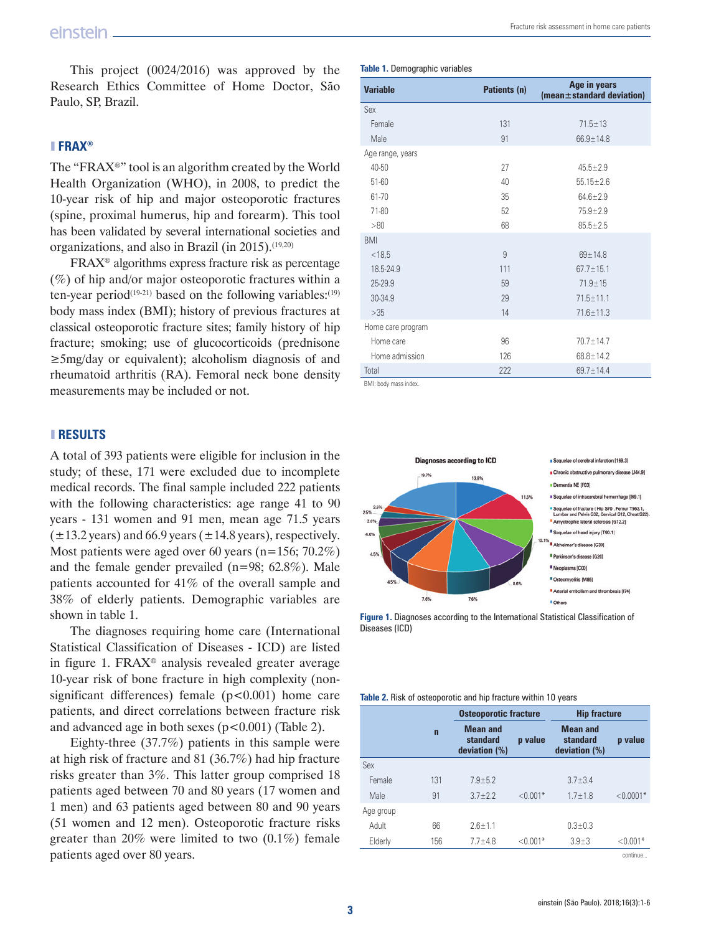This project (0024/2016) was approved by the Research Ethics Committee of Home Doctor, São Paulo, SP, Brazil.

## ❚ **FRAX®**

The "FRAX®" tool is an algorithm created by the World Health Organization (WHO), in 2008, to predict the 10-year risk of hip and major osteoporotic fractures (spine, proximal humerus, hip and forearm). This tool has been validated by several international societies and organizations, and also in Brazil (in 2015).(19,20)

FRAX® algorithms express fracture risk as percentage  $(\%)$  of hip and/or major osteoporotic fractures within a ten-year period<sup>(19-21)</sup> based on the following variables:<sup>(19)</sup> body mass index (BMI); history of previous fractures at classical osteoporotic fracture sites; family history of hip fracture; smoking; use of glucocorticoids (prednisone ≥5mg/day or equivalent); alcoholism diagnosis of and rheumatoid arthritis (RA). Femoral neck bone density measurements may be included or not.

#### ❚ **RESULTS**

A total of 393 patients were eligible for inclusion in the study; of these, 171 were excluded due to incomplete medical records. The final sample included 222 patients with the following characteristics: age range 41 to 90 years - 131 women and 91 men, mean age 71.5 years  $(\pm 13.2 \text{ years})$  and 66.9 years ( $\pm 14.8 \text{ years}$ ), respectively. Most patients were aged over 60 years (n=156; 70.2%) and the female gender prevailed (n=98; 62.8%). Male patients accounted for 41% of the overall sample and 38% of elderly patients. Demographic variables are shown in table 1.

The diagnoses requiring home care (International Statistical Classification of Diseases - ICD) are listed in figure 1. FRAX® analysis revealed greater average 10-year risk of bone fracture in high complexity (nonsignificant differences) female  $(p<0.001)$  home care patients, and direct correlations between fracture risk and advanced age in both sexes  $(p<0.001)$  (Table 2).

Eighty-three (37.7%) patients in this sample were at high risk of fracture and 81 (36.7%) had hip fracture risks greater than 3%. This latter group comprised 18 patients aged between 70 and 80 years (17 women and 1 men) and 63 patients aged between 80 and 90 years (51 women and 12 men). Osteoporotic fracture risks greater than 20% were limited to two  $(0.1\%)$  female patients aged over 80 years.

#### **Table 1.** Demographic variables

| <b>Variable</b>       | Patients (n) | Age in years<br>(mean ± standard deviation) |
|-----------------------|--------------|---------------------------------------------|
| Sex                   |              |                                             |
| Female                | 131          | $71.5 \pm 13$                               |
| Male                  | 91           | $66.9 \pm 14.8$                             |
| Age range, years      |              |                                             |
| 40-50                 | 27           | $45.5 \pm 2.9$                              |
| 51-60                 | 40           | $55.15 \pm 2.6$                             |
| 61-70                 | 35           | $64.6 \pm 2.9$                              |
| 71-80                 | 52           | $75.9 + 2.9$                                |
| > 80                  | 68           | $85.5 \pm 2.5$                              |
| <b>BMI</b>            |              |                                             |
| < 18, 5               | 9            | $69 + 14.8$                                 |
| 18.5-24.9             | 111          | $67.7 \pm 15.1$                             |
| 25-29.9               | 59           | $71.9 \pm 15$                               |
| 30-34.9               | 29           | $71.5 \pm 11.1$                             |
| >35                   | 14           | $71.6 \pm 11.3$                             |
| Home care program     |              |                                             |
| Home care             | 96           | $70.7 \pm 14.7$                             |
| Home admission        | 126          | $68.8 \pm 14.2$                             |
| Total                 | 222          | $69.7 \pm 14.4$                             |
| BMI: body mass index. |              |                                             |

**Diagnoses according to ICD** Sequelae of cerebral infarction (169.3) Chronic obstructive pulmonary disease [.144.9] 19.7% 12.6% Dementia NF (F03) Sequelae of intracerebral hemorrhage [169.1] 11.0%  $25$ |<br>| Sequelae of fracture ( Hip S70 , Femur T963.1,<br>| Lumbar and Pelvis S32, Cervical S12, Chest S22) 2.5%  $3.01$ Amyotrophic lateral sclerosis (G12.2) <sup>8</sup> Sequelae of head injury [T90.1] 4.0% Alzheimer's disease [G30] Parkinson's disease (G20) Neoplasms (C00) Osteomyelitis [M86

> Arterial embolism and thrombosis [174] 7.6% 7.6% **C**there

**Figure 1.** Diagnoses according to the International Statistical Classification of Diseases (ICD)

| Table 2. Risk of osteoporotic and hip fracture within 10 years |  |  |
|----------------------------------------------------------------|--|--|
|----------------------------------------------------------------|--|--|

|           |                | Osteoporotic fracture                           |            | <b>Hip fracture</b>                          |             |
|-----------|----------------|-------------------------------------------------|------------|----------------------------------------------|-------------|
|           | $\overline{ }$ | <b>Mean and</b><br>standard<br>deviation $(\%)$ | p value    | <b>Mean and</b><br>standard<br>deviation (%) | p value     |
| Sex       |                |                                                 |            |                                              |             |
| Female    | 131            | $79 + 52$                                       |            | $37 + 34$                                    |             |
| Male      | 91             | $37+22$                                         | $< 0.001*$ | $17+18$                                      | $< 0.0001*$ |
| Age group |                |                                                 |            |                                              |             |
| Adult     | 66             | $2.6 + 1.1$                                     |            | $0.3 + 0.3$                                  |             |
| Elderly   | 156            | $7.7 + 4.8$                                     | $< 0.001*$ | $3.9 + 3$                                    | $<$ 0.001*  |
|           |                |                                                 |            |                                              |             |

continue.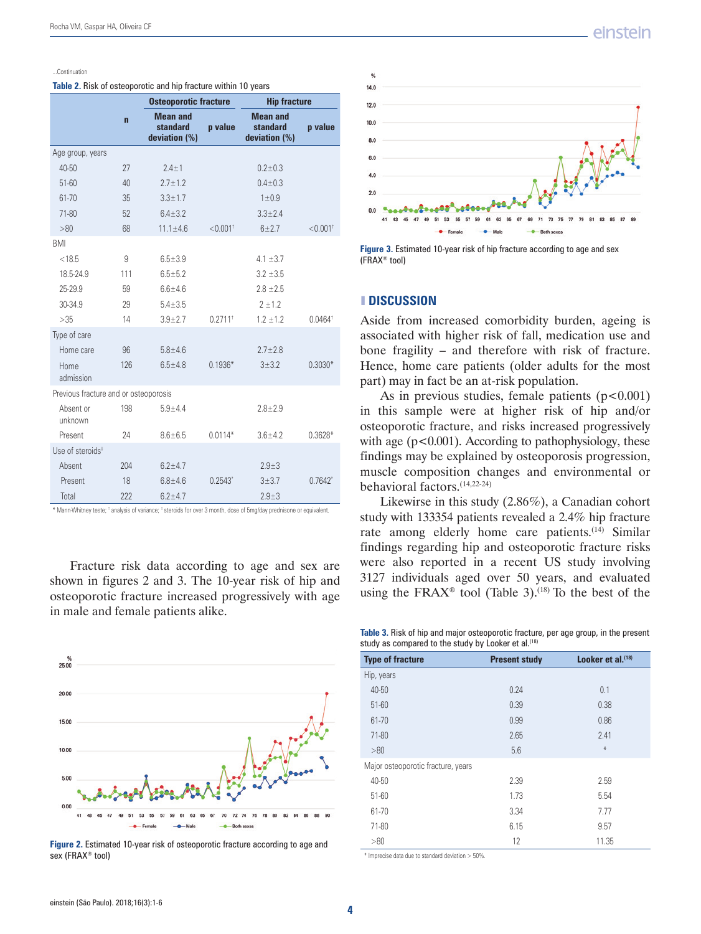...Continuation

| <b>Table Z.</b> KISK OF OSTEODOFOTIC and hip fracture within TO years |                |                                                     |                        |                                              |                        |
|-----------------------------------------------------------------------|----------------|-----------------------------------------------------|------------------------|----------------------------------------------|------------------------|
|                                                                       |                | <b>Osteoporotic fracture</b>                        |                        | <b>Hip fracture</b>                          |                        |
|                                                                       | $\overline{ }$ | <b>Mean and</b><br><b>standard</b><br>deviation (%) | p value                | <b>Mean and</b><br>standard<br>deviation (%) | p value                |
| Age group, years                                                      |                |                                                     |                        |                                              |                        |
| 40-50                                                                 | 27             | $2.4 \pm 1$                                         |                        | $0.2 \pm 0.3$                                |                        |
| 51-60                                                                 | 40             | $2.7 \pm 1.2$                                       |                        | $0.4 + 0.3$                                  |                        |
| 61-70                                                                 | 35             | $3.3 \pm 1.7$                                       |                        | $1 + 0.9$                                    |                        |
| 71-80                                                                 | 52             | $6.4 \pm 3.2$                                       |                        | $3.3 \pm 2.4$                                |                        |
| > 80                                                                  | 68             | $11.1 \pm 4.6$                                      | $< 0.001$ <sup>+</sup> | $6 + 2.7$                                    | $< 0.001$ <sup>+</sup> |
| <b>BMI</b>                                                            |                |                                                     |                        |                                              |                        |
| < 18.5                                                                | 9              | $6.5 + 3.9$                                         |                        | 4.1 $\pm 3.7$                                |                        |
| 18.5-24.9                                                             | 111            | $6.5 + 5.2$                                         |                        | $3.2 \pm 3.5$                                |                        |
| 25-29.9                                                               | 59             | $6.6 + 4.6$                                         |                        | $2.8 \pm 2.5$                                |                        |
| 30-34.9                                                               | 29             | $5.4 + 3.5$                                         |                        | $2 + 1.2$                                    |                        |
| >35                                                                   | 14             | $3.9 \pm 2.7$                                       | $0.2711$ <sup>t</sup>  | $1.2 \pm 1.2$                                | $0.0464^{\dagger}$     |
| Type of care                                                          |                |                                                     |                        |                                              |                        |
| Home care                                                             | 96             | $5.8 + 4.6$                                         |                        | $2.7 \pm 2.8$                                |                        |
| Home<br>admission                                                     | 126            | $6.5 + 4.8$                                         | $0.1936*$              | $3 + 3.2$                                    | $0.3030*$              |
| Previous fracture and or osteoporosis                                 |                |                                                     |                        |                                              |                        |
| Absent or<br>unknown                                                  | 198            | $5.9 + 4.4$                                         |                        | $2.8 + 2.9$                                  |                        |
| Present                                                               | 24             | $8.6 \pm 6.5$                                       | $0.0114*$              | $3.6 + 4.2$                                  | $0.3628*$              |
| Use of steroids <sup>#</sup>                                          |                |                                                     |                        |                                              |                        |
| Absent                                                                | 204            | $6.2 + 4.7$                                         |                        | $2.9 + 3$                                    |                        |
| Present                                                               | 18             | $6.8 + 4.6$                                         | 0.2543"                | $3 + 3.7$                                    | $0.7642*$              |
| Total                                                                 | 222            | $6.2 + 4.7$                                         |                        | $2.9 + 3$                                    |                        |

**Table 2.** Risk of osteoporotic and hip fracture within 10 years

\* Mann-Whitney teste; † analysis of variance; ‡ steroids for over 3 month, dose of 5mg/day prednisone or equivalent.

Fracture risk data according to age and sex are shown in figures 2 and 3. The 10-year risk of hip and osteoporotic fracture increased progressively with age in male and female patients alike.



**Figure 2.** Estimated 10-year risk of osteoporotic fracture according to age and sex (FRAX® tool)



**Figure 3.** Estimated 10-year risk of hip fracture according to age and sex (FRAX® tool)

#### ❚ **DISCUSSION**

Aside from increased comorbidity burden, ageing is associated with higher risk of fall, medication use and bone fragility – and therefore with risk of fracture. Hence, home care patients (older adults for the most part) may in fact be an at-risk population.

As in previous studies, female patients  $(p<0.001)$ in this sample were at higher risk of hip and/or osteoporotic fracture, and risks increased progressively with age  $(p<0.001)$ . According to pathophysiology, these findings may be explained by osteoporosis progression, muscle composition changes and environmental or behavioral factors.(14,22-24)

Likewirse in this study (2.86%), a Canadian cohort study with 133354 patients revealed a 2.4% hip fracture rate among elderly home care patients.<sup>(14)</sup> Similar findings regarding hip and osteoporotic fracture risks were also reported in a recent US study involving 3127 individuals aged over 50 years, and evaluated using the FRAX<sup>®</sup> tool (Table 3).<sup>(18)</sup> To the best of the

**Table 3.** Risk of hip and major osteoporotic fracture, per age group, in the present study as compared to the study by Looker et al.<sup>(18)</sup>

| <b>Type of fracture</b>            | <b>Present study</b> | Looker et al. <sup>(18)</sup> |
|------------------------------------|----------------------|-------------------------------|
| Hip, years                         |                      |                               |
| 40-50                              | 0.24                 | 0.1                           |
| 51-60                              | 0.39                 | 0.38                          |
| 61-70                              | 0.99                 | 0.86                          |
| 71-80                              | 2.65                 | 2.41                          |
| > 80                               | 5.6                  | $\ast$                        |
| Major osteoporotic fracture, years |                      |                               |
| 40-50                              | 2.39                 | 2.59                          |
| 51-60                              | 1.73                 | 5.54                          |
| 61-70                              | 3.34                 | 7.77                          |
| 71-80                              | 6.15                 | 9.57                          |
| > 80                               | 12                   | 11.35                         |

\* Imprecise data due to standard deviation > 50%.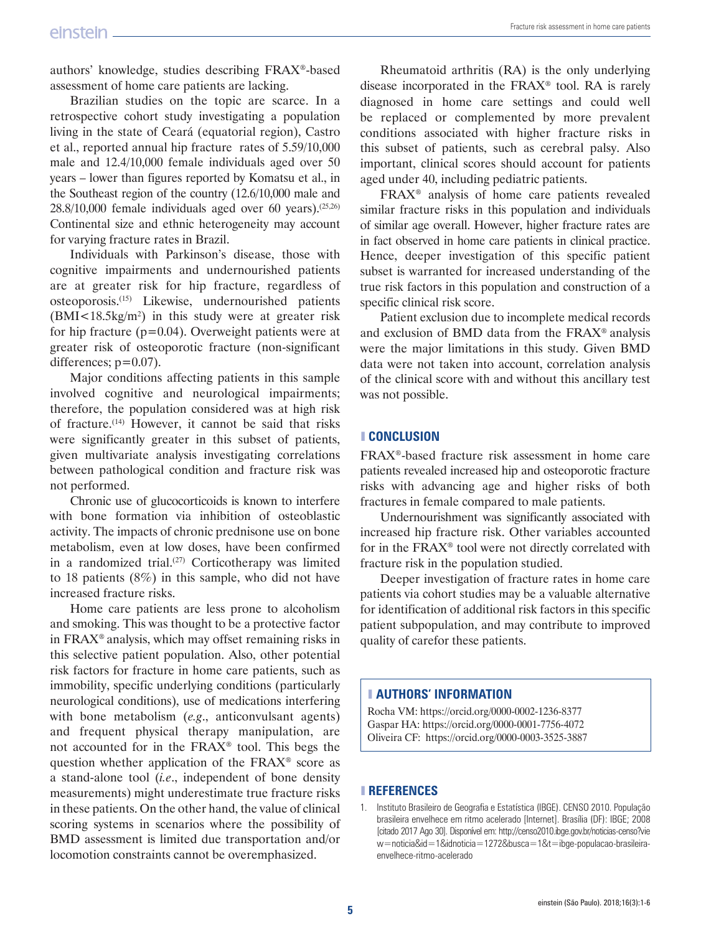authors' knowledge, studies describing FRAX®-based assessment of home care patients are lacking.

Brazilian studies on the topic are scarce. In a retrospective cohort study investigating a population living in the state of Ceará (equatorial region), Castro et al., reported annual hip fracture rates of 5.59/10,000 male and 12.4/10,000 female individuals aged over 50 years – lower than figures reported by Komatsu et al., in the Southeast region of the country (12.6/10,000 male and  $28.8/10,000$  female individuals aged over 60 years).<sup>(25,26)</sup> Continental size and ethnic heterogeneity may account for varying fracture rates in Brazil.

Individuals with Parkinson's disease, those with cognitive impairments and undernourished patients are at greater risk for hip fracture, regardless of osteoporosis.(15) Likewise, undernourished patients  $(BMI < 18.5 kg/m<sup>2</sup>)$  in this study were at greater risk for hip fracture  $(p=0.04)$ . Overweight patients were at greater risk of osteoporotic fracture (non-significant differences;  $p=0.07$ ).

Major conditions affecting patients in this sample involved cognitive and neurological impairments; therefore, the population considered was at high risk of fracture.<sup>(14)</sup> However, it cannot be said that risks were significantly greater in this subset of patients, given multivariate analysis investigating correlations between pathological condition and fracture risk was not performed.

Chronic use of glucocorticoids is known to interfere with bone formation via inhibition of osteoblastic activity. The impacts of chronic prednisone use on bone metabolism, even at low doses, have been confirmed in a randomized trial.<sup>(27)</sup> Corticotherapy was limited to 18 patients (8%) in this sample, who did not have increased fracture risks.

Home care patients are less prone to alcoholism and smoking. This was thought to be a protective factor in FRAX® analysis, which may offset remaining risks in this selective patient population. Also, other potential risk factors for fracture in home care patients, such as immobility, specific underlying conditions (particularly neurological conditions), use of medications interfering with bone metabolism (*e.g*., anticonvulsant agents) and frequent physical therapy manipulation, are not accounted for in the FRAX® tool. This begs the question whether application of the FRAX® score as a stand-alone tool (*i.e*., independent of bone density measurements) might underestimate true fracture risks in these patients. On the other hand, the value of clinical scoring systems in scenarios where the possibility of BMD assessment is limited due transportation and/or locomotion constraints cannot be overemphasized.

Rheumatoid arthritis (RA) is the only underlying disease incorporated in the FRAX® tool. RA is rarely diagnosed in home care settings and could well be replaced or complemented by more prevalent conditions associated with higher fracture risks in this subset of patients, such as cerebral palsy. Also important, clinical scores should account for patients aged under 40, including pediatric patients.

FRAX® analysis of home care patients revealed similar fracture risks in this population and individuals of similar age overall. However, higher fracture rates are in fact observed in home care patients in clinical practice. Hence, deeper investigation of this specific patient subset is warranted for increased understanding of the true risk factors in this population and construction of a specific clinical risk score.

Patient exclusion due to incomplete medical records and exclusion of BMD data from the FRAX® analysis were the major limitations in this study. Given BMD data were not taken into account, correlation analysis of the clinical score with and without this ancillary test was not possible.

# ❚ **CONCLUSION**

FRAX®-based fracture risk assessment in home care patients revealed increased hip and osteoporotic fracture risks with advancing age and higher risks of both fractures in female compared to male patients.

Undernourishment was significantly associated with increased hip fracture risk. Other variables accounted for in the FRAX® tool were not directly correlated with fracture risk in the population studied.

Deeper investigation of fracture rates in home care patients via cohort studies may be a valuable alternative for identification of additional risk factors in this specific patient subpopulation, and may contribute to improved quality of carefor these patients.

#### ❚ **AUTHORS' INFORMATION**

Rocha VM: https://orcid.org/0000-0002-1236-8377 Gaspar HA: https://orcid.org/0000-0001-7756-4072 Oliveira CF: https://orcid.org/0000-0003-3525-3887

# ❚ **REFERENCES**

1. Instituto Brasileiro de Geografia e Estatística (IBGE). CENSO 2010. População brasileira envelhece em ritmo acelerado [Internet]. Brasília (DF): IBGE; 2008 [citado 2017 Ago 30]. Disponível em: http://censo2010.ibge.gov.br/noticias-censo?vie w=noticia&id=1&idnoticia=1272&busca=1&t=ibge-populacao-brasileiraenvelhece-ritmo-acelerado